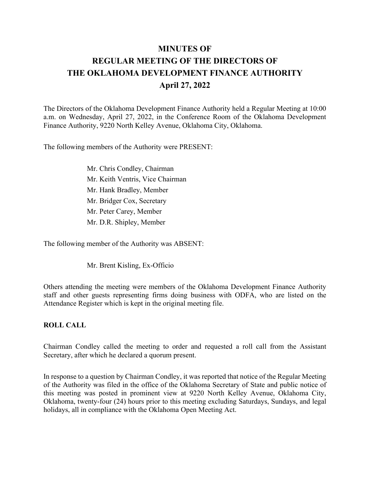# **MINUTES OF REGULAR MEETING OF THE DIRECTORS OF THE OKLAHOMA DEVELOPMENT FINANCE AUTHORITY April 27, 2022**

The Directors of the Oklahoma Development Finance Authority held a Regular Meeting at 10:00 a.m. on Wednesday, April 27, 2022, in the Conference Room of the Oklahoma Development Finance Authority, 9220 North Kelley Avenue, Oklahoma City, Oklahoma.

The following members of the Authority were PRESENT:

Mr. Chris Condley, Chairman Mr. Keith Ventris, Vice Chairman Mr. Hank Bradley, Member Mr. Bridger Cox, Secretary Mr. Peter Carey, Member Mr. D.R. Shipley, Member

The following member of the Authority was ABSENT:

Mr. Brent Kisling, Ex-Officio

Others attending the meeting were members of the Oklahoma Development Finance Authority staff and other guests representing firms doing business with ODFA, who are listed on the Attendance Register which is kept in the original meeting file.

#### **ROLL CALL**

Chairman Condley called the meeting to order and requested a roll call from the Assistant Secretary, after which he declared a quorum present.

In response to a question by Chairman Condley, it was reported that notice of the Regular Meeting of the Authority was filed in the office of the Oklahoma Secretary of State and public notice of this meeting was posted in prominent view at 9220 North Kelley Avenue, Oklahoma City, Oklahoma, twenty-four (24) hours prior to this meeting excluding Saturdays, Sundays, and legal holidays, all in compliance with the Oklahoma Open Meeting Act.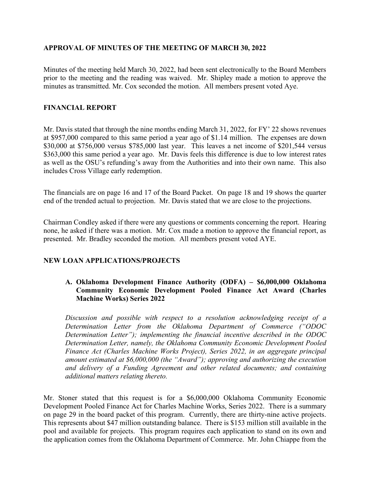# **APPROVAL OF MINUTES OF THE MEETING OF MARCH 30, 2022**

Minutes of the meeting held March 30, 2022, had been sent electronically to the Board Members prior to the meeting and the reading was waived. Mr. Shipley made a motion to approve the minutes as transmitted. Mr. Cox seconded the motion. All members present voted Aye.

## **FINANCIAL REPORT**

Mr. Davis stated that through the nine months ending March 31, 2022, for FY' 22 shows revenues at \$957,000 compared to this same period a year ago of \$1.14 million. The expenses are down \$30,000 at \$756,000 versus \$785,000 last year. This leaves a net income of \$201,544 versus \$363,000 this same period a year ago. Mr. Davis feels this difference is due to low interest rates as well as the OSU's refunding's away from the Authorities and into their own name. This also includes Cross Village early redemption.

The financials are on page 16 and 17 of the Board Packet. On page 18 and 19 shows the quarter end of the trended actual to projection. Mr. Davis stated that we are close to the projections.

Chairman Condley asked if there were any questions or comments concerning the report. Hearing none, he asked if there was a motion. Mr. Cox made a motion to approve the financial report, as presented. Mr. Bradley seconded the motion. All members present voted AYE.

# **NEW LOAN APPLICATIONS/PROJECTS**

## **A. Oklahoma Development Finance Authority (ODFA) – \$6,000,000 Oklahoma Community Economic Development Pooled Finance Act Award (Charles Machine Works) Series 2022**

*Discussion and possible with respect to a resolution acknowledging receipt of a Determination Letter from the Oklahoma Department of Commerce ("ODOC Determination Letter"); implementing the financial incentive described in the ODOC Determination Letter, namely, the Oklahoma Community Economic Development Pooled Finance Act (Charles Machine Works Project), Series 2022, in an aggregate principal amount estimated at \$6,000,000 (the "Award"); approving and authorizing the execution and delivery of a Funding Agreement and other related documents; and containing additional matters relating thereto.*

Mr. Stoner stated that this request is for a \$6,000,000 Oklahoma Community Economic Development Pooled Finance Act for Charles Machine Works, Series 2022. There is a summary on page 29 in the board packet of this program. Currently, there are thirty-nine active projects. This represents about \$47 million outstanding balance. There is \$153 million still available in the pool and available for projects. This program requires each application to stand on its own and the application comes from the Oklahoma Department of Commerce. Mr. John Chiappe from the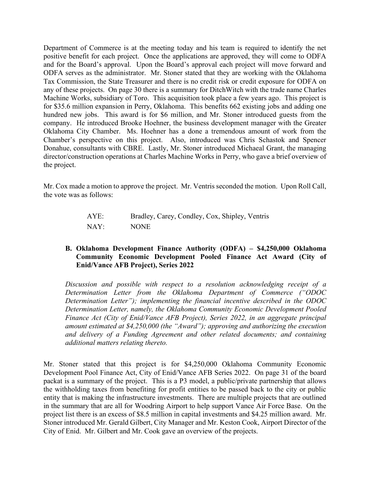Department of Commerce is at the meeting today and his team is required to identify the net positive benefit for each project. Once the applications are approved, they will come to ODFA and for the Board's approval. Upon the Board's approval each project will move forward and ODFA serves as the administrator. Mr. Stoner stated that they are working with the Oklahoma Tax Commission, the State Treasurer and there is no credit risk or credit exposure for ODFA on any of these projects. On page 30 there is a summary for DitchWitch with the trade name Charles Machine Works, subsidiary of Toro. This acquisition took place a few years ago. This project is for \$35.6 million expansion in Perry, Oklahoma. This benefits 662 existing jobs and adding one hundred new jobs. This award is for \$6 million, and Mr. Stoner introduced guests from the company. He introduced Brooke Hoehner, the business development manager with the Greater Oklahoma City Chamber. Ms. Hoehner has a done a tremendous amount of work from the Chamber's perspective on this project. Also, introduced was Chris Schastok and Spencer Donahue, consultants with CBRE. Lastly, Mr. Stoner introduced Michaeal Grant, the managing director/construction operations at Charles Machine Works in Perry, who gave a brief overview of the project.

Mr. Cox made a motion to approve the project. Mr. Ventris seconded the motion. Upon Roll Call, the vote was as follows:

| AYE: | Bradley, Carey, Condley, Cox, Shipley, Ventris |
|------|------------------------------------------------|
| NAY: | <b>NONE</b>                                    |

## **B. Oklahoma Development Finance Authority (ODFA) – \$4,250,000 Oklahoma Community Economic Development Pooled Finance Act Award (City of Enid/Vance AFB Project), Series 2022**

*Discussion and possible with respect to a resolution acknowledging receipt of a Determination Letter from the Oklahoma Department of Commerce ("ODOC Determination Letter"); implementing the financial incentive described in the ODOC Determination Letter, namely, the Oklahoma Community Economic Development Pooled Finance Act (City of Enid/Vance AFB Project), Series 2022, in an aggregate principal amount estimated at \$4,250,000 (the "Award"); approving and authorizing the execution and delivery of a Funding Agreement and other related documents; and containing additional matters relating thereto.*

Mr. Stoner stated that this project is for \$4,250,000 Oklahoma Community Economic Development Pool Finance Act, City of Enid/Vance AFB Series 2022. On page 31 of the board packat is a summary of the project. This is a P3 model, a public/private partnership that allows the withholding taxes from benefiting for profit entities to be passed back to the city or public entity that is making the infrastructure investments. There are multiple projects that are outlined in the summary that are all for Woodring Airport to help support Vance Air Force Base. On the project list there is an excess of \$8.5 million in capital investments and \$4.25 million award. Mr. Stoner introduced Mr. Gerald Gilbert, City Manager and Mr. Keston Cook, Airport Director of the City of Enid. Mr. Gilbert and Mr. Cook gave an overview of the projects.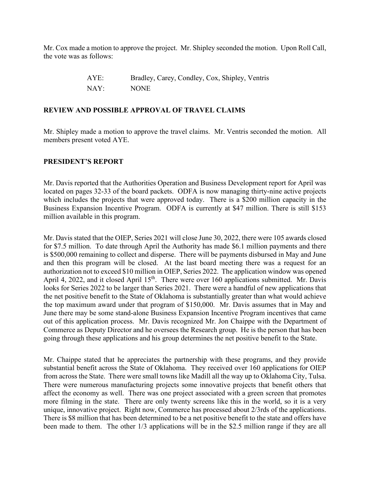Mr. Cox made a motion to approve the project. Mr. Shipley seconded the motion. Upon Roll Call, the vote was as follows:

> AYE: Bradley, Carey, Condley, Cox, Shipley, Ventris NAY: NONE

## **REVIEW AND POSSIBLE APPROVAL OF TRAVEL CLAIMS**

Mr. Shipley made a motion to approve the travel claims. Mr. Ventris seconded the motion. All members present voted AYE.

#### **PRESIDENT'S REPORT**

Mr. Davis reported that the Authorities Operation and Business Development report for April was located on pages 32-33 of the board packets. ODFA is now managing thirty-nine active projects which includes the projects that were approved today. There is a \$200 million capacity in the Business Expansion Incentive Program. ODFA is currently at \$47 million. There is still \$153 million available in this program.

Mr. Davis stated that the OIEP, Series 2021 will close June 30, 2022, there were 105 awards closed for \$7.5 million. To date through April the Authority has made \$6.1 million payments and there is \$500,000 remaining to collect and disperse. There will be payments disbursed in May and June and then this program will be closed. At the last board meeting there was a request for an authorization not to exceed \$10 million in OIEP, Series 2022. The application window was opened April 4, 2022, and it closed April  $15<sup>th</sup>$ . There were over 160 applications submitted. Mr. Davis looks for Series 2022 to be larger than Series 2021. There were a handful of new applications that the net positive benefit to the State of Oklahoma is substantially greater than what would achieve the top maximum award under that program of \$150,000. Mr. Davis assumes that in May and June there may be some stand-alone Business Expansion Incentive Program incentives that came out of this application process. Mr. Davis recognized Mr. Jon Chaippe with the Department of Commerce as Deputy Director and he oversees the Research group. He is the person that has been going through these applications and his group determines the net positive benefit to the State.

Mr. Chaippe stated that he appreciates the partnership with these programs, and they provide substantial benefit across the State of Oklahoma. They received over 160 applications for OIEP from across the State. There were small towns like Madill all the way up to Oklahoma City, Tulsa. There were numerous manufacturing projects some innovative projects that benefit others that affect the economy as well. There was one project associated with a green screen that promotes more filming in the state. There are only twenty screens like this in the world, so it is a very unique, innovative project. Right now, Commerce has processed about 2/3rds of the applications. There is \$8 million that has been determined to be a net positive benefit to the state and offers have been made to them. The other 1/3 applications will be in the \$2.5 million range if they are all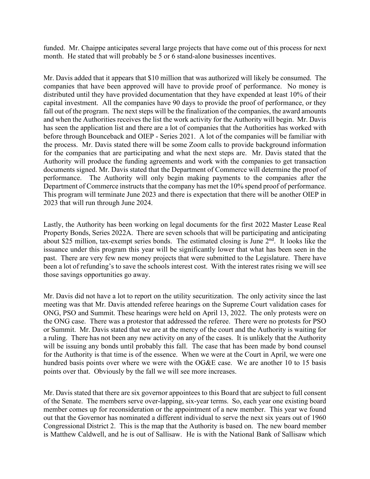funded. Mr. Chaippe anticipates several large projects that have come out of this process for next month. He stated that will probably be 5 or 6 stand-alone businesses incentives.

Mr. Davis added that it appears that \$10 million that was authorized will likely be consumed. The companies that have been approved will have to provide proof of performance. No money is distributed until they have provided documentation that they have expended at least 10% of their capital investment. All the companies have 90 days to provide the proof of performance, or they fall out of the program. The next steps will be the finalization of the companies, the award amounts and when the Authorities receives the list the work activity for the Authority will begin. Mr. Davis has seen the application list and there are a lot of companies that the Authorities has worked with before through Bounceback and OIEP - Series 2021. A lot of the companies will be familiar with the process. Mr. Davis stated there will be some Zoom calls to provide background information for the companies that are participating and what the next steps are. Mr. Davis stated that the Authority will produce the funding agreements and work with the companies to get transaction documents signed. Mr. Davis stated that the Department of Commerce will determine the proof of performance. The Authority will only begin making payments to the companies after the Department of Commerce instructs that the company has met the 10% spend proof of performance. This program will terminate June 2023 and there is expectation that there will be another OIEP in 2023 that will run through June 2024.

Lastly, the Authority has been working on legal documents for the first 2022 Master Lease Real Property Bonds, Series 2022A. There are seven schools that will be participating and anticipating about \$25 million, tax-exempt series bonds. The estimated closing is June  $2<sup>nd</sup>$ . It looks like the issuance under this program this year will be significantly lower that what has been seen in the past. There are very few new money projects that were submitted to the Legislature. There have been a lot of refunding's to save the schools interest cost. With the interest rates rising we will see those savings opportunities go away.

Mr. Davis did not have a lot to report on the utility securitization. The only activity since the last meeting was that Mr. Davis attended referee hearings on the Supreme Court validation cases for ONG, PSO and Summit. These hearings were held on April 13, 2022. The only protests were on the ONG case. There was a protestor that addressed the referee. There were no protests for PSO or Summit. Mr. Davis stated that we are at the mercy of the court and the Authority is waiting for a ruling. There has not been any new activity on any of the cases. It is unlikely that the Authority will be issuing any bonds until probably this fall. The case that has been made by bond counsel for the Authority is that time is of the essence. When we were at the Court in April, we were one hundred basis points over where we were with the OG&E case. We are another 10 to 15 basis points over that. Obviously by the fall we will see more increases.

Mr. Davis stated that there are six governor appointees to this Board that are subject to full consent of the Senate. The members serve over-lapping, six-year terms. So, each year one existing board member comes up for reconsideration or the appointment of a new member. This year we found out that the Governor has nominated a different individual to serve the next six years out of 1960 Congressional District 2. This is the map that the Authority is based on. The new board member is Matthew Caldwell, and he is out of Sallisaw. He is with the National Bank of Sallisaw which